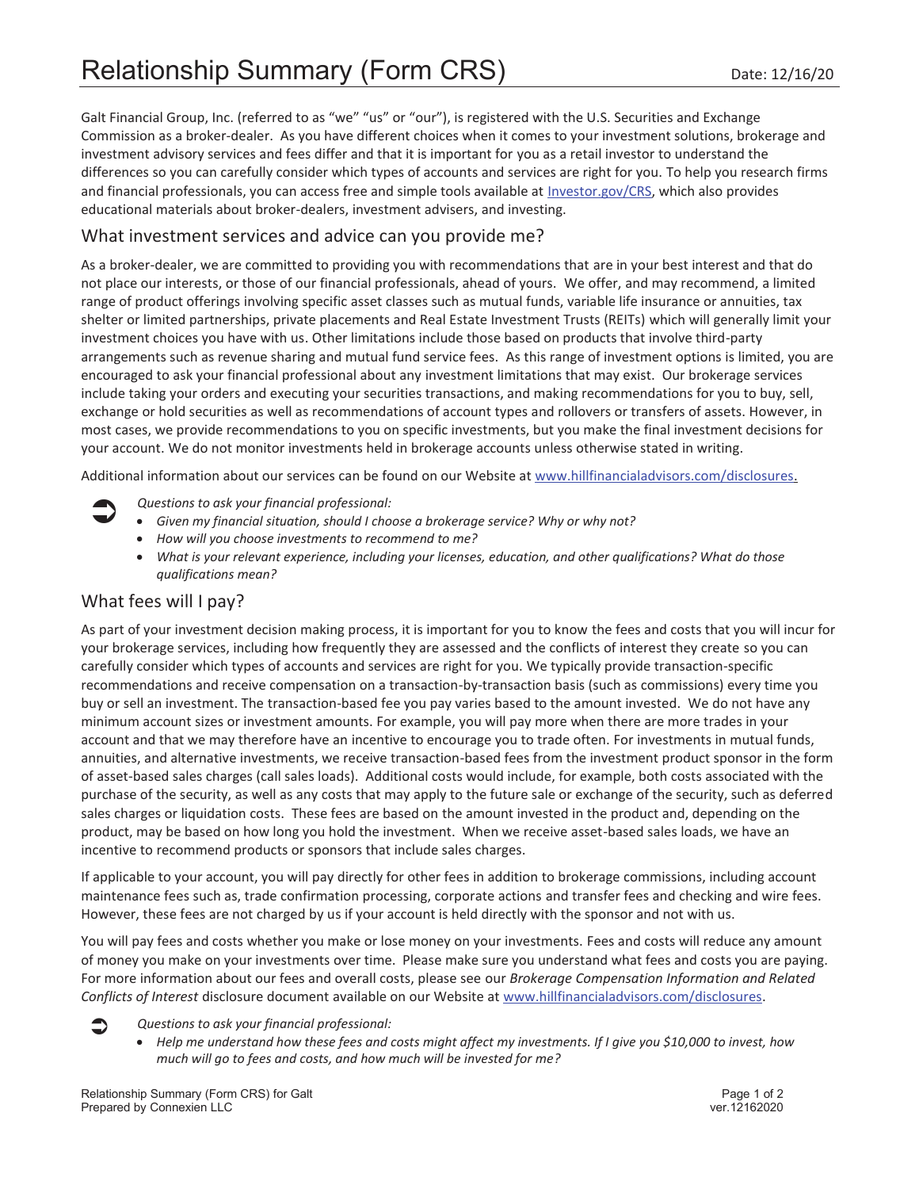Galt Financial Group, Inc. (referred to as "we" "us" or "our"), is registered with the U.S. Securities and Exchange Commission as a broker-dealer. As you have different choices when it comes to your investment solutions, brokerage and investment advisory services and fees differ and that it is important for you as a retail investor to understand the differences so you can carefully consider which types of accounts and services are right for you. To help you research firms and financial professionals, you can access free and simple tools available at Investor.gov/CRS, which also provides educational materials about broker-dealers, investment advisers, and investing.

### What investment services and advice can you provide me?

As a broker-dealer, we are committed to providing you with recommendations that are in your best interest and that do not place our interests, or those of our financial professionals, ahead of yours. We offer, and may recommend, a limited range of product offerings involving specific asset classes such as mutual funds, variable life insurance or annuities, tax shelter or limited partnerships, private placements and Real Estate Investment Trusts (REITs) which will generally limit your investment choices you have with us. Other limitations include those based on products that involve third-party arrangements such as revenue sharing and mutual fund service fees. As this range of investment options is limited, you are encouraged to ask your financial professional about any investment limitations that may exist. Our brokerage services include taking your orders and executing your securities transactions, and making recommendations for you to buy, sell, exchange or hold securities as well as recommendations of account types and rollovers or transfers of assets. However, in most cases, we provide recommendations to you on specific investments, but you make the final investment decisions for your account. We do not monitor investments held in brokerage accounts unless otherwise stated in writing.

Additional information about our services can be found on our Website at www.hillfinancialadvisors.com/disclosures.

- 
- Â *Questions to ask your financial professional:*  x *Given my financial situation, should I choose a brokerage service? Why or why not?* 
	- x *How will you choose investments to recommend to me?*
	- **•** What is your relevant experience, including your licenses, education, and other qualifications? What do those *qualifications mean?*

## What fees will I pay?

As part of your investment decision making process, it is important for you to know the fees and costs that you will incur for your brokerage services, including how frequently they are assessed and the conflicts of interest they create so you can carefully consider which types of accounts and services are right for you. We typically provide transaction-specific recommendations and receive compensation on a transaction-by-transaction basis (such as commissions) every time you buy or sell an investment. The transaction-based fee you pay varies based to the amount invested. We do not have any minimum account sizes or investment amounts. For example, you will pay more when there are more trades in your account and that we may therefore have an incentive to encourage you to trade often. For investments in mutual funds, annuities, and alternative investments, we receive transaction-based fees from the investment product sponsor in the form of asset-based sales charges (call sales loads). Additional costs would include, for example, both costs associated with the purchase of the security, as well as any costs that may apply to the future sale or exchange of the security, such as deferred sales charges or liquidation costs. These fees are based on the amount invested in the product and, depending on the product, may be based on how long you hold the investment. When we receive asset-based sales loads, we have an incentive to recommend products or sponsors that include sales charges.

If applicable to your account, you will pay directly for other fees in addition to brokerage commissions, including account maintenance fees such as, trade confirmation processing, corporate actions and transfer fees and checking and wire fees. However, these fees are not charged by us if your account is held directly with the sponsor and not with us.

You will pay fees and costs whether you make or lose money on your investments. Fees and costs will reduce any amount of money you make on your investments over time. Please make sure you understand what fees and costs you are paying. For more information about our fees and overall costs, please see our *Brokerage Compensation Information and Related Conflicts of Interest* disclosure document available on our Website at www.hillfinancialadvisors.com/disclosures.

- Â *Questions to ask your financial professional:* 
	- x *Help me understand how these fees and costs might affect my investments. If I give you \$10,000 to invest, how much will go to fees and costs, and how much will be invested for me?*

Relationship Summary (Form CRS) for Galt Page 1 of 2 Prepared by Connexien LLC vertex and the connection of the connection of the connection of the connection of the connection of the connection of the connection of the connection of the connection of the connection of the c